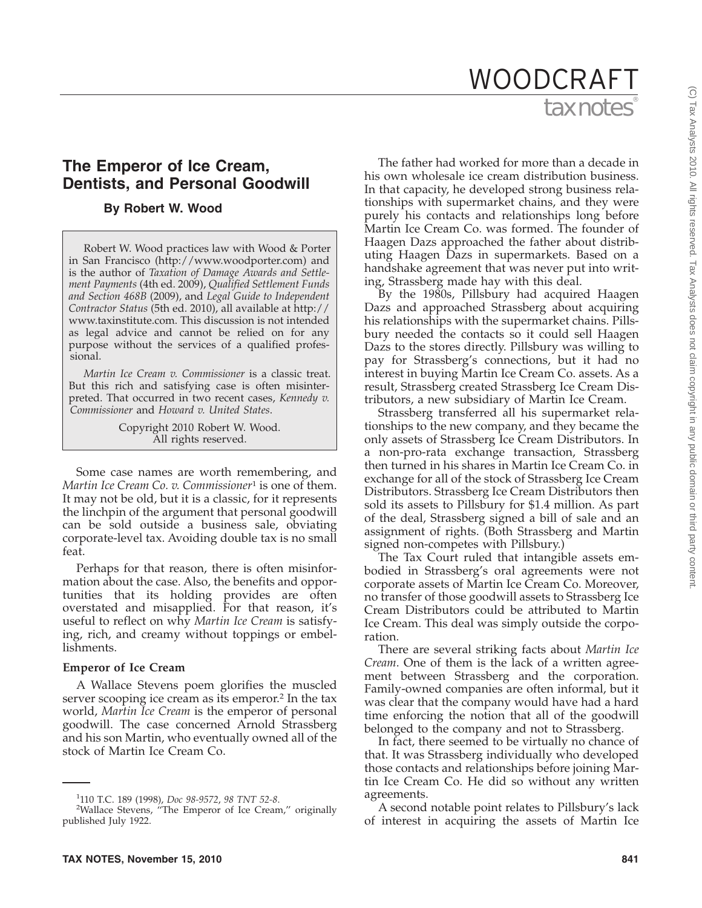# tax notes WOODCRAFT

# **The Emperor of Ice Cream, Dentists, and Personal Goodwill**

# **By Robert W. Wood**

Robert W. Wood practices law with Wood & Porter in San Francisco (http://www.woodporter.com) and is the author of *Taxation of Damage Awards and Settlement Payments* (4th ed. 2009), *Qualified Settlement Funds and Section 468B* (2009), and *Legal Guide to Independent Contractor Status* (5th ed. 2010), all available at http:// www.taxinstitute.com. This discussion is not intended as legal advice and cannot be relied on for any purpose without the services of a qualified professional.

*Martin Ice Cream v. Commissioner* is a classic treat. But this rich and satisfying case is often misinterpreted. That occurred in two recent cases, *Kennedy v. Commissioner* and *Howard v. United States*.

> Copyright 2010 Robert W. Wood. All rights reserved.

Some case names are worth remembering, and *Martin Ice Cream Co. v. Commissioner*<sup>1</sup> is one of them. It may not be old, but it is a classic, for it represents the linchpin of the argument that personal goodwill can be sold outside a business sale, obviating corporate-level tax. Avoiding double tax is no small feat.

Perhaps for that reason, there is often misinformation about the case. Also, the benefits and opportunities that its holding provides are often overstated and misapplied. For that reason, it's useful to reflect on why *Martin Ice Cream* is satisfying, rich, and creamy without toppings or embellishments.

#### **Emperor of Ice Cream**

A Wallace Stevens poem glorifies the muscled server scooping ice cream as its emperor.<sup>2</sup> In the tax world, *Martin Ice Cream* is the emperor of personal goodwill. The case concerned Arnold Strassberg and his son Martin, who eventually owned all of the stock of Martin Ice Cream Co.

In that capacity, he developed strong business relationships with supermarket chains, and they were purely his contacts and relationships long before Martin Ice Cream Co. was formed. The founder of Haagen Dazs approached the father about distributing Haagen Dazs in supermarkets. Based on a handshake agreement that was never put into writing, Strassberg made hay with this deal. By the 1980s, Pillsbury had acquired Haagen

Dazs and approached Strassberg about acquiring his relationships with the supermarket chains. Pillsbury needed the contacts so it could sell Haagen Dazs to the stores directly. Pillsbury was willing to pay for Strassberg's connections, but it had no interest in buying Martin Ice Cream Co. assets. As a result, Strassberg created Strassberg Ice Cream Distributors, a new subsidiary of Martin Ice Cream.

The father had worked for more than a decade in his own wholesale ice cream distribution business.

Strassberg transferred all his supermarket relationships to the new company, and they became the only assets of Strassberg Ice Cream Distributors. In a non-pro-rata exchange transaction, Strassberg then turned in his shares in Martin Ice Cream Co. in exchange for all of the stock of Strassberg Ice Cream Distributors. Strassberg Ice Cream Distributors then sold its assets to Pillsbury for \$1.4 million. As part of the deal, Strassberg signed a bill of sale and an assignment of rights. (Both Strassberg and Martin signed non-competes with Pillsbury.)

The Tax Court ruled that intangible assets embodied in Strassberg's oral agreements were not corporate assets of Martin Ice Cream Co. Moreover, no transfer of those goodwill assets to Strassberg Ice Cream Distributors could be attributed to Martin Ice Cream. This deal was simply outside the corporation.

There are several striking facts about *Martin Ice Cream*. One of them is the lack of a written agreement between Strassberg and the corporation. Family-owned companies are often informal, but it was clear that the company would have had a hard time enforcing the notion that all of the goodwill belonged to the company and not to Strassberg.

In fact, there seemed to be virtually no chance of that. It was Strassberg individually who developed those contacts and relationships before joining Martin Ice Cream Co. He did so without any written agreements.

A second notable point relates to Pillsbury's lack of interest in acquiring the assets of Martin Ice

<sup>1</sup> 110 T.C. 189 (1998), *Doc 98-9572*, *98 TNT 52-8*. <sup>2</sup> Wallace Stevens, ''The Emperor of Ice Cream,'' originally published July 1922.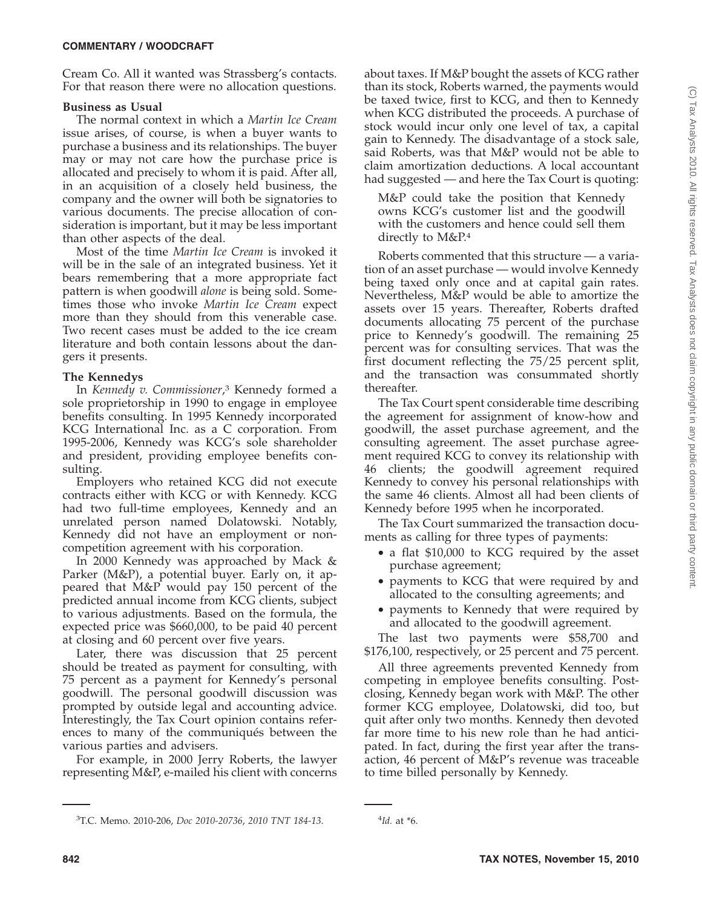#### **COMMENTARY / WOODCRAFT**

Cream Co. All it wanted was Strassberg's contacts. For that reason there were no allocation questions.

#### **Business as Usual**

The normal context in which a *Martin Ice Cream* issue arises, of course, is when a buyer wants to purchase a business and its relationships. The buyer may or may not care how the purchase price is allocated and precisely to whom it is paid. After all, in an acquisition of a closely held business, the company and the owner will both be signatories to various documents. The precise allocation of consideration is important, but it may be less important than other aspects of the deal.

Most of the time *Martin Ice Cream* is invoked it will be in the sale of an integrated business. Yet it bears remembering that a more appropriate fact pattern is when goodwill *alone* is being sold. Sometimes those who invoke *Martin Ice Cream* expect more than they should from this venerable case. Two recent cases must be added to the ice cream literature and both contain lessons about the dangers it presents.

#### **The Kennedys**

In *Kennedy v. Commissioner*, <sup>3</sup> Kennedy formed a sole proprietorship in 1990 to engage in employee benefits consulting. In 1995 Kennedy incorporated KCG International Inc. as a C corporation. From 1995-2006, Kennedy was KCG's sole shareholder and president, providing employee benefits consulting.

Employers who retained KCG did not execute contracts either with KCG or with Kennedy. KCG had two full-time employees, Kennedy and an unrelated person named Dolatowski. Notably, Kennedy did not have an employment or noncompetition agreement with his corporation.

In 2000 Kennedy was approached by Mack & Parker (M&P), a potential buyer. Early on, it appeared that M&P would pay 150 percent of the predicted annual income from KCG clients, subject to various adjustments. Based on the formula, the expected price was \$660,000, to be paid 40 percent at closing and 60 percent over five years.

Later, there was discussion that 25 percent should be treated as payment for consulting, with 75 percent as a payment for Kennedy's personal goodwill. The personal goodwill discussion was prompted by outside legal and accounting advice. Interestingly, the Tax Court opinion contains references to many of the communiqués between the various parties and advisers.

For example, in 2000 Jerry Roberts, the lawyer representing M&P, e-mailed his client with concerns

about taxes. If M&P bought the assets of KCG rather than its stock, Roberts warned, the payments would be taxed twice, first to KCG, and then to Kennedy when KCG distributed the proceeds. A purchase of stock would incur only one level of tax, a capital gain to Kennedy. The disadvantage of a stock sale, said Roberts, was that M&P would not be able to claim amortization deductions. A local accountant had suggested — and here the Tax Court is quoting:

M&P could take the position that Kennedy owns KCG's customer list and the goodwill with the customers and hence could sell them directly to M&P.4

Roberts commented that this structure — a variation of an asset purchase — would involve Kennedy being taxed only once and at capital gain rates. Nevertheless, M&P would be able to amortize the assets over 15 years. Thereafter, Roberts drafted documents allocating 75 percent of the purchase price to Kennedy's goodwill. The remaining 25 percent was for consulting services. That was the first document reflecting the 75/25 percent split, and the transaction was consummated shortly thereafter.

The Tax Court spent considerable time describing the agreement for assignment of know-how and goodwill, the asset purchase agreement, and the consulting agreement. The asset purchase agreement required KCG to convey its relationship with 46 clients; the goodwill agreement required Kennedy to convey his personal relationships with the same 46 clients. Almost all had been clients of Kennedy before 1995 when he incorporated.

The Tax Court summarized the transaction documents as calling for three types of payments:

- a flat \$10,000 to KCG required by the asset purchase agreement;
- payments to KCG that were required by and allocated to the consulting agreements; and
- payments to Kennedy that were required by and allocated to the goodwill agreement.

The last two payments were \$58,700 and \$176,100, respectively, or 25 percent and 75 percent.

All three agreements prevented Kennedy from competing in employee benefits consulting. Postclosing, Kennedy began work with M&P. The other former KCG employee, Dolatowski, did too, but quit after only two months. Kennedy then devoted far more time to his new role than he had anticipated. In fact, during the first year after the transaction, 46 percent of M&P's revenue was traceable to time billed personally by Kennedy.

<sup>3</sup> T.C. Memo. 2010-206, *Doc 2010-20736*, *2010 TNT 184-13*. <sup>4</sup>

*Id.* at \*6.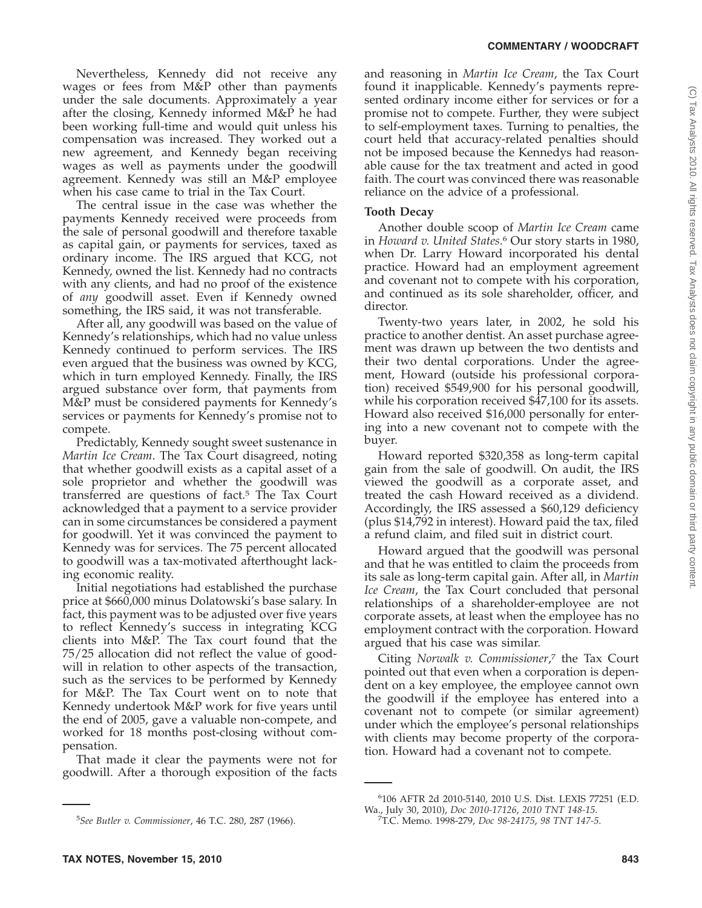Nevertheless, Kennedy did not receive any wages or fees from M&P other than payments under the sale documents. Approximately a year after the closing, Kennedy informed M&P he had been working full-time and would quit unless his compensation was increased. They worked out a new agreement, and Kennedy began receiving wages as well as payments under the goodwill agreement. Kennedy was still an M&P employee when his case came to trial in the Tax Court.

The central issue in the case was whether the payments Kennedy received were proceeds from the sale of personal goodwill and therefore taxable as capital gain, or payments for services, taxed as ordinary income. The IRS argued that KCG, not Kennedy, owned the list. Kennedy had no contracts with any clients, and had no proof of the existence of *any* goodwill asset. Even if Kennedy owned something, the IRS said, it was not transferable.

After all, any goodwill was based on the value of Kennedy's relationships, which had no value unless Kennedy continued to perform services. The IRS even argued that the business was owned by KCG, which in turn employed Kennedy. Finally, the IRS argued substance over form, that payments from M&P must be considered payments for Kennedy's services or payments for Kennedy's promise not to compete.

Predictably, Kennedy sought sweet sustenance in *Martin Ice Cream*. The Tax Court disagreed, noting that whether goodwill exists as a capital asset of a sole proprietor and whether the goodwill was transferred are questions of fact.5 The Tax Court acknowledged that a payment to a service provider can in some circumstances be considered a payment for goodwill. Yet it was convinced the payment to Kennedy was for services. The 75 percent allocated to goodwill was a tax-motivated afterthought lacking economic reality.

Initial negotiations had established the purchase price at \$660,000 minus Dolatowski's base salary. In fact, this payment was to be adjusted over five years to reflect Kennedy's success in integrating KCG clients into M&P. The Tax court found that the 75/25 allocation did not reflect the value of goodwill in relation to other aspects of the transaction, such as the services to be performed by Kennedy for M&P. The Tax Court went on to note that Kennedy undertook M&P work for five years until the end of 2005, gave a valuable non-compete, and worked for 18 months post-closing without compensation.

That made it clear the payments were not for goodwill. After a thorough exposition of the facts

and reasoning in *Martin Ice Cream*, the Tax Court found it inapplicable. Kennedy's payments represented ordinary income either for services or for a promise not to compete. Further, they were subject to self-employment taxes. Turning to penalties, the court held that accuracy-related penalties should not be imposed because the Kennedys had reasonable cause for the tax treatment and acted in good faith. The court was convinced there was reasonable reliance on the advice of a professional.

#### **Tooth Decay**

Another double scoop of *Martin Ice Cream* came in *Howard v. United States*. <sup>6</sup> Our story starts in 1980, when Dr. Larry Howard incorporated his dental practice. Howard had an employment agreement and covenant not to compete with his corporation, and continued as its sole shareholder, officer, and director.

Twenty-two years later, in 2002, he sold his practice to another dentist. An asset purchase agreement was drawn up between the two dentists and their two dental corporations. Under the agreement, Howard (outside his professional corporation) received \$549,900 for his personal goodwill, while his corporation received \$47,100 for its assets. Howard also received \$16,000 personally for entering into a new covenant not to compete with the buyer.

Howard reported \$320,358 as long-term capital gain from the sale of goodwill. On audit, the IRS viewed the goodwill as a corporate asset, and treated the cash Howard received as a dividend. Accordingly, the IRS assessed a \$60,129 deficiency (plus \$14,792 in interest). Howard paid the tax, filed a refund claim, and filed suit in district court.

Howard argued that the goodwill was personal and that he was entitled to claim the proceeds from its sale as long-term capital gain. After all, in *Martin Ice Cream*, the Tax Court concluded that personal relationships of a shareholder-employee are not corporate assets, at least when the employee has no employment contract with the corporation. Howard argued that his case was similar.

Citing *Norwalk v. Commissioner*, <sup>7</sup> the Tax Court pointed out that even when a corporation is dependent on a key employee, the employee cannot own the goodwill if the employee has entered into a covenant not to compete (or similar agreement) under which the employee's personal relationships with clients may become property of the corporation. Howard had a covenant not to compete.

6 106 AFTR 2d 2010-5140, 2010 U.S. Dist. LEXIS 77251 (E.D. Wa., July 30, 2010), *Doc 2010-17126*, *2010 TNT 148-15*. <sup>7</sup>

<sup>5</sup> *See Butler v. Commissioner*, 46 T.C. 280, 287 (1966).

T.C. Memo. 1998-279, *Doc 98-24175*, *98 TNT 147-5*.